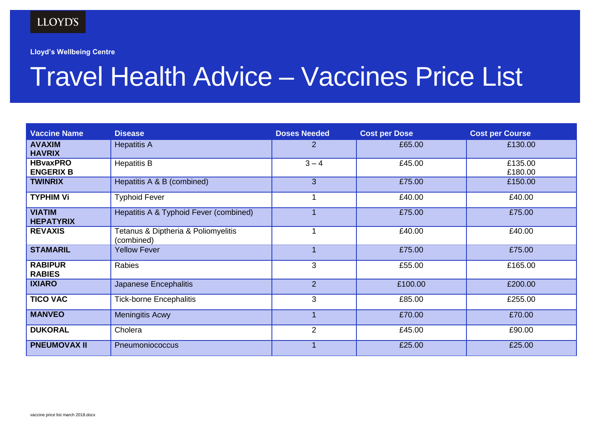## LLOYD'S

**Lloyd's Wellbeing Centre**

## Travel Health Advice – Vaccines Price List

| <b>Vaccine Name</b>                 | <b>Disease</b>                                    | <b>Doses Needed</b> | <b>Cost per Dose</b> | <b>Cost per Course</b> |
|-------------------------------------|---------------------------------------------------|---------------------|----------------------|------------------------|
| <b>AVAXIM</b><br><b>HAVRIX</b>      | <b>Hepatitis A</b>                                | 2                   | £65.00               | £130.00                |
| <b>HBvaxPRO</b><br><b>ENGERIX B</b> | <b>Hepatitis B</b>                                | $3 - 4$             | £45.00               | £135.00<br>£180.00     |
| <b>TWINRIX</b>                      | Hepatitis A & B (combined)                        | 3                   | £75.00               | £150.00                |
| <b>TYPHIM Vi</b>                    | <b>Typhoid Fever</b>                              |                     | £40.00               | £40.00                 |
| <b>VIATIM</b><br><b>HEPATYRIX</b>   | Hepatitis A & Typhoid Fever (combined)            |                     | £75.00               | £75.00                 |
| <b>REVAXIS</b>                      | Tetanus & Diptheria & Poliomyelitis<br>(combined) |                     | £40.00               | £40.00                 |
| <b>STAMARIL</b>                     | <b>Yellow Fever</b>                               |                     | £75.00               | £75.00                 |
| <b>RABIPUR</b><br><b>RABIES</b>     | Rabies                                            | 3                   | £55.00               | £165.00                |
| <b>IXIARO</b>                       | Japanese Encephalitis                             | $\overline{2}$      | £100.00              | £200.00                |
| <b>TICO VAC</b>                     | <b>Tick-borne Encephalitis</b>                    | 3                   | £85.00               | £255.00                |
| <b>MANVEO</b>                       | <b>Meningitis Acwy</b>                            |                     | £70.00               | £70.00                 |
| <b>DUKORAL</b>                      | Cholera                                           | $\overline{2}$      | £45.00               | £90.00                 |
| <b>PNEUMOVAX II</b>                 | Pneumoniococcus                                   |                     | £25.00               | £25.00                 |